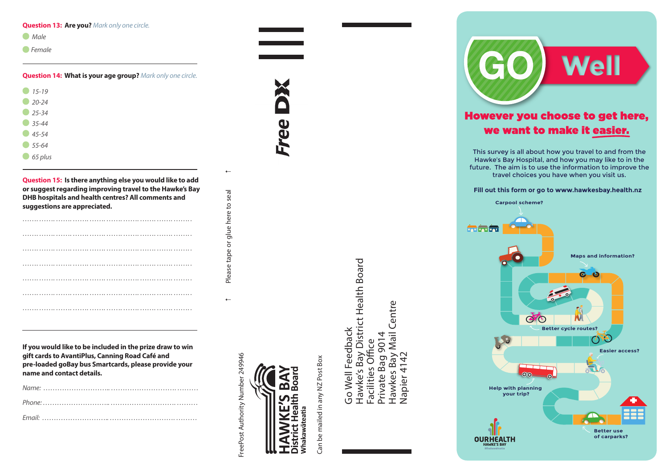#### **Question 13: Are you?** *Mark only one circle.*

| Male |
|------|
|      |

*Female*

**Question 14: What is your age group?** *Mark only one circle.*

| $15 - 19$<br>a. |  |  |
|-----------------|--|--|
| $20 - 24$       |  |  |
| $25 - 34$       |  |  |
| $35 - 44$       |  |  |
| $45 - 54$       |  |  |
| 55-64           |  |  |
| 65 plus         |  |  |

**Question 15: Is there anything else you would like to add or suggest regarding improving travel to the Hawke's Bay DHB hospitals and health centres? All comments and suggestions are appreciated.**

| $\cdots$ |  |
|----------|--|
|          |  |
| $\cdots$ |  |
|          |  |
|          |  |
|          |  |
|          |  |

f Please tape or glue here to seal 5 Please tape or glue here to seal

 $\overline{a}$ 

 $\leftarrow$ 

**If you would like to be included in the prize draw to win gift cards to AvantiPlus, Canning Road Café and pre-loaded goBay bus Smartcards, please provide your name and contact details.**

FreePost Authority Number 249946 FreePost Authority Number 249946



Free

Can be mailed in any NZ Post Box Can be mailed in any NZ Post Box

Hawke's Bay District Health Board Hawke's Bay District Health Board Centre Hawkes Bay Mail Centre Go Well Feedback Go Well Feedback Hawkes Bay Mail<br>Napier 4142 Private Bag 9014 Private Bag 9014 Facilities Office Facilities Office Napier 4142

**Well** However you choose to get here,



**Help with plannin g your t r i p ?**

**OURHEALTH** 

ை

**Easier access?** 

**Better** use **o f c a rpa r k s ?**

 $\mathbf{a}$